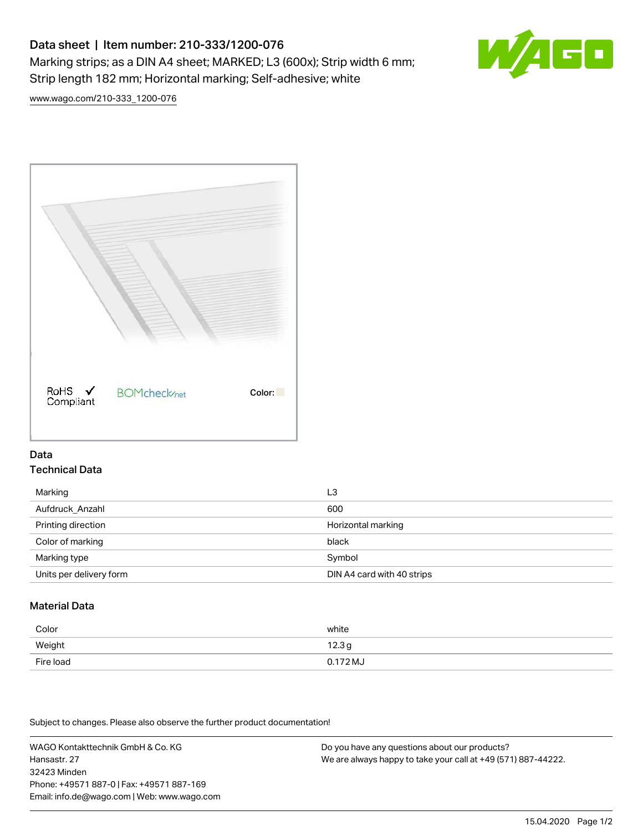# Data sheet | Item number: 210-333/1200-076 Marking strips; as a DIN A4 sheet; MARKED; L3 (600x); Strip width 6 mm; Strip length 182 mm; Horizontal marking; Self-adhesive; white



[www.wago.com/210-333\\_1200-076](http://www.wago.com/210-333_1200-076)



#### Data Technical Data

| Marking                 | L3                         |
|-------------------------|----------------------------|
| Aufdruck Anzahl         | 600                        |
| Printing direction      | Horizontal marking         |
| Color of marking        | black                      |
| Marking type            | Symbol                     |
| Units per delivery form | DIN A4 card with 40 strips |

## Material Data

| Color     | white               |
|-----------|---------------------|
| Weight    | 12.3g               |
| Fire load | $0.172 \mathrm{MJ}$ |

Subject to changes. Please also observe the further product documentation!

WAGO Kontakttechnik GmbH & Co. KG Hansastr. 27 32423 Minden Phone: +49571 887-0 | Fax: +49571 887-169 Email: info.de@wago.com | Web: www.wago.com

Do you have any questions about our products? We are always happy to take your call at +49 (571) 887-44222.